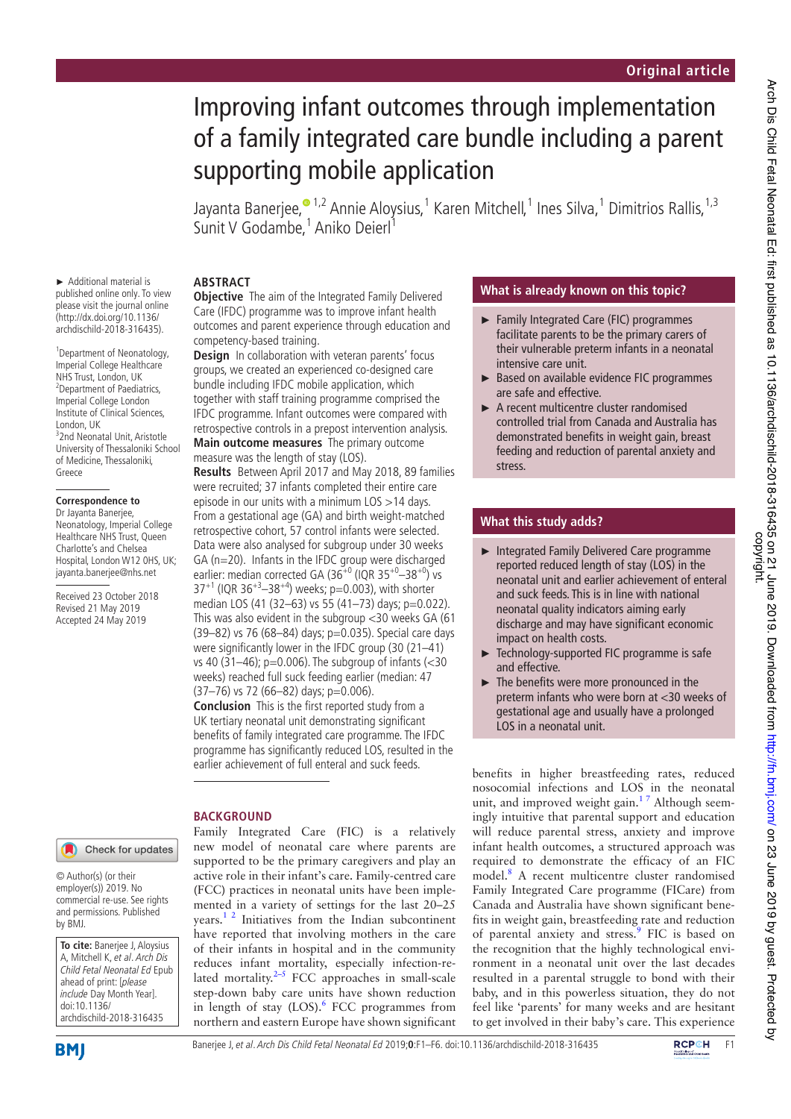# Improving infant outcomes through implementation of a family integrated care bundle including a parent supporting mobile application

Jayanta Banerjee,<sup>© 1,2</sup> Annie Aloysius,<sup>1</sup> Karen Mitchell,<sup>1</sup> Ines Silva,<sup>1</sup> Dimitrios Rallis,<sup>1,3</sup> Sunit V Godambe,<sup>1</sup> Aniko Deierl<sup>1</sup>

► Additional material is published online only. To view please visit the journal online (http://dx.doi.org/10.1136/ archdischild-2018-316435).

1 Department of Neonatology, Imperial College Healthcare NHS Trust, London, UK 2 Department of Paediatrics, Imperial College London Institute of Clinical Sciences, London, UK 3 2nd Neonatal Unit, Aristotle University of Thessaloniki School of Medicine, Thessaloniki, Greece

#### **Correspondence to**

Dr Jayanta Banerjee, Neonatology, Imperial College Healthcare NHS Trust, Queen Charlotte's and Chelsea Hospital, London W12 0HS, UK; jayanta.banerjee@nhs.net

Received 23 October 2018 Revised 21 May 2019 Accepted 24 May 2019

# **ABSTRACT**

**Objective** The aim of the Integrated Family Delivered Care (IFDC) programme was to improve infant health outcomes and parent experience through education and competency-based training.

**Design** In collaboration with veteran parents' focus groups, we created an experienced co-designed care bundle including IFDC mobile application, which together with staff training programme comprised the IFDC programme. Infant outcomes were compared with retrospective controls in a prepost intervention analysis. **Main outcome measures** The primary outcome measure was the length of stay (LOS).

**Results** Between April 2017 and May 2018, 89 families were recruited; 37 infants completed their entire care episode in our units with a minimum LOS >14 days. From a gestational age (GA) and birth weight-matched retrospective cohort, 57 control infants were selected. Data were also analysed for subgroup under 30 weeks GA (n=20). Infants in the IFDC group were discharged earlier: median corrected GA (36<sup>+0</sup> (IQR 35<sup>+0</sup>-38<sup>+0</sup>) vs  $37^{+1}$  (IQR  $36^{+3}$ – $38^{+4}$ ) weeks; p=0.003), with shorter median LOS (41 (32–63) vs 55 (41–73) days; p=0.022). This was also evident in the subgroup <30 weeks GA (61 (39–82) vs 76 (68–84) days; p=0.035). Special care days were significantly lower in the IFDC group (30 (21–41) vs 40 (31–46); p=0.006). The subgroup of infants (<30 weeks) reached full suck feeding earlier (median: 47  $(37–76)$  vs 72 (66–82) days; p=0.006).

**Conclusion** This is the first reported study from a UK tertiary neonatal unit demonstrating significant benefits of family integrated care programme. The IFDC programme has significantly reduced LOS, resulted in the earlier achievement of full enteral and suck feeds.

new model of neonatal care where parents are supported to be the primary caregivers and play an active role in their infant's care. Family-centred care (FCC) practices in neonatal units have been implemented in a variety of settings for the last 20–25 years.1 2 Initiatives from the Indian subcontinent have reported that involving mothers in the care of their infants in hospital and in the community reduces infant mortality, especially infection-related mortality. $2-5$  FCC approaches in small-scale step-down baby care units have shown reduction in length of stay (LOS).<sup>6</sup> FCC programmes from northern and eastern Europe have shown significant

#### **BACKGROUND** Family Integrated Care (FIC) is a relatively

Check for updates

© Author(s) (or their employer(s)) 2019. No commercial re-use. See rights and permissions. Published by BMJ.

**To cite:** Banerjee J, Aloysius A, Mitchell K, et al. Arch Dis Child Fetal Neonatal Ed Epub ahead of print: [please include Day Month Year]. doi:10.1136/ archdischild-2018-316435



## **What is already known on this topic?**

- ► Family Integrated Care (FIC) programmes facilitate parents to be the primary carers of their vulnerable preterm infants in a neonatal intensive care unit.
- ► Based on available evidence FIC programmes are safe and effective.
- ► A recent multicentre cluster randomised controlled trial from Canada and Australia has demonstrated benefits in weight gain, breast feeding and reduction of parental anxiety and stress.

## **What this study adds?**

- ► Integrated Family Delivered Care programme reported reduced length of stay (LOS) in the neonatal unit and earlier achievement of enteral and suck feeds. This is in line with national neonatal quality indicators aiming early discharge and may have significant economic impact on health costs.
- ► Technology-supported FIC programme is safe and effective.
- ► The benefits were more pronounced in the preterm infants who were born at <30 weeks of gestational age and usually have a prolonged LOS in a neonatal unit.

benefits in higher breastfeeding rates, reduced nosocomial infections and LOS in the neonatal unit, and improved weight gain.<sup>17</sup> Although seemingly intuitive that parental support and education will reduce parental stress, anxiety and improve infant health outcomes, a structured approach was required to demonstrate the efficacy of an FIC model.8 A recent multicentre cluster randomised Family Integrated Care programme (FICare) from Canada and Australia have shown significant benefits in weight gain, breastfeeding rate and reduction of parental anxiety and stress.<sup>9</sup> FIC is based on the recognition that the highly technological environment in a neonatal unit over the last decades resulted in a parental struggle to bond with their baby, and in this powerless situation, they do not feel like 'parents' for many weeks and are hesitant to get involved in their baby's care. This experience

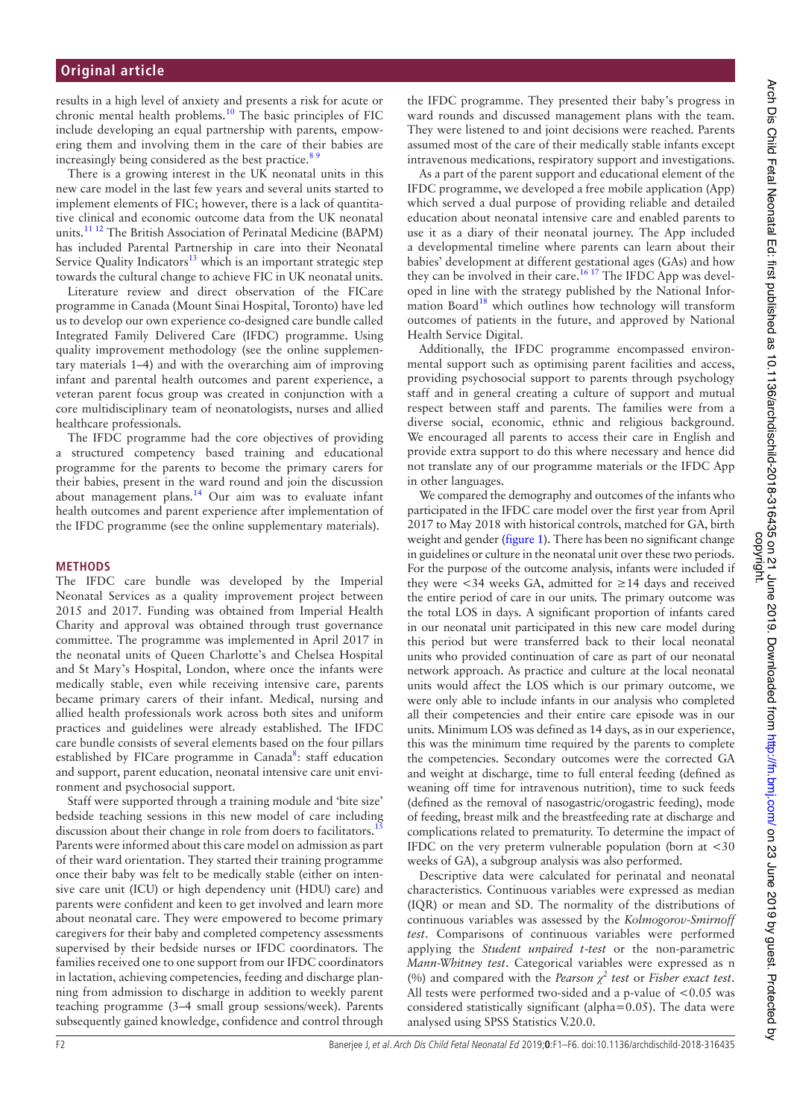### **Original article**

results in a high level of anxiety and presents a risk for acute or chronic mental health problems. $10$  The basic principles of FIC include developing an equal partnership with parents, empowering them and involving them in the care of their babies are increasingly being considered as the best practice.<sup>89</sup>

There is a growing interest in the UK neonatal units in this new care model in the last few years and several units started to implement elements of FIC; however, there is a lack of quantitative clinical and economic outcome data from the UK neonatal units.11 12 The British Association of Perinatal Medicine (BAPM) has included Parental Partnership in care into their Neonatal Service Quality Indicators $13$  which is an important strategic step towards the cultural change to achieve FIC in UK neonatal units.

Literature review and direct observation of the FICare programme in Canada (Mount Sinai Hospital, Toronto) have led us to develop our own experience co-designed care bundle called Integrated Family Delivered Care (IFDC) programme. Using quality improvement methodology (see the online supplementary materials 1–4) and with the overarching aim of improving infant and parental health outcomes and parent experience, a veteran parent focus group was created in conjunction with a core multidisciplinary team of neonatologists, nurses and allied healthcare professionals.

The IFDC programme had the core objectives of providing a structured competency based training and educational programme for the parents to become the primary carers for their babies, present in the ward round and join the discussion about management plans.<sup>14</sup> Our aim was to evaluate infant health outcomes and parent experience after implementation of the IFDC programme (see the online supplementary materials).

#### **METHODS**

The IFDC care bundle was developed by the Imperial Neonatal Services as a quality improvement project between 2015 and 2017. Funding was obtained from Imperial Health Charity and approval was obtained through trust governance committee. The programme was implemented in April 2017 in the neonatal units of Queen Charlotte's and Chelsea Hospital and St Mary's Hospital, London, where once the infants were medically stable, even while receiving intensive care, parents became primary carers of their infant. Medical, nursing and allied health professionals work across both sites and uniform practices and guidelines were already established. The IFDC care bundle consists of several elements based on the four pillars established by FICare programme in Canada<sup>8</sup>: staff education and support, parent education, neonatal intensive care unit environment and psychosocial support.

Staff were supported through a training module and 'bite size' bedside teaching sessions in this new model of care including discussion about their change in role from doers to facilitators.<sup>1</sup> Parents were informed about this care model on admission as part of their ward orientation. They started their training programme once their baby was felt to be medically stable (either on intensive care unit (ICU) or high dependency unit (HDU) care) and parents were confident and keen to get involved and learn more about neonatal care. They were empowered to become primary caregivers for their baby and completed competency assessments supervised by their bedside nurses or IFDC coordinators. The families received one to one support from our IFDC coordinators in lactation, achieving competencies, feeding and discharge planning from admission to discharge in addition to weekly parent teaching programme (3–4 small group sessions/week). Parents subsequently gained knowledge, confidence and control through

the IFDC programme. They presented their baby's progress in ward rounds and discussed management plans with the team. They were listened to and joint decisions were reached. Parents assumed most of the care of their medically stable infants except intravenous medications, respiratory support and investigations.

As a part of the parent support and educational element of the IFDC programme, we developed a free mobile application (App) which served a dual purpose of providing reliable and detailed education about neonatal intensive care and enabled parents to use it as a diary of their neonatal journey. The App included a developmental timeline where parents can learn about their babies' development at different gestational ages (GAs) and how they can be involved in their care.<sup>16 17</sup> The IFDC App was developed in line with the strategy published by the National Information Board<sup>18</sup> which outlines how technology will transform outcomes of patients in the future, and approved by National Health Service Digital.

Additionally, the IFDC programme encompassed environmental support such as optimising parent facilities and access, providing psychosocial support to parents through psychology staff and in general creating a culture of support and mutual respect between staff and parents. The families were from a diverse social, economic, ethnic and religious background. We encouraged all parents to access their care in English and provide extra support to do this where necessary and hence did not translate any of our programme materials or the IFDC App in other languages.

We compared the demography and outcomes of the infants who participated in the IFDC care model over the first year from April 2017 to May 2018 with historical controls, matched for GA, birth weight and gender (figure 1). There has been no significant change in guidelines or culture in the neonatal unit over these two periods. For the purpose of the outcome analysis, infants were included if they were <34 weeks GA, admitted for ≥14 days and received the entire period of care in our units. The primary outcome was the total LOS in days. A significant proportion of infants cared in our neonatal unit participated in this new care model during this period but were transferred back to their local neonatal units who provided continuation of care as part of our neonatal network approach. As practice and culture at the local neonatal units would affect the LOS which is our primary outcome, we were only able to include infants in our analysis who completed all their competencies and their entire care episode was in our units. Minimum LOS was defined as 14 days, as in our experience, this was the minimum time required by the parents to complete the competencies. Secondary outcomes were the corrected GA and weight at discharge, time to full enteral feeding (defined as weaning off time for intravenous nutrition), time to suck feeds (defined as the removal of nasogastric/orogastric feeding), mode of feeding, breast milk and the breastfeeding rate at discharge and complications related to prematurity. To determine the impact of IFDC on the very preterm vulnerable population (born at <30 weeks of GA), a subgroup analysis was also performed.

Descriptive data were calculated for perinatal and neonatal characteristics. Continuous variables were expressed as median (IQR) or mean and SD. The normality of the distributions of continuous variables was assessed by the *Kolmogorov-Smirnoff test*. Comparisons of continuous variables were performed applying the *Student unpaired t-test* or the non-parametric *Mann-Whitney test*. Categorical variables were expressed as n (%) and compared with the *Pearson*  $\chi^2$  test or *Fisher exact test*. All tests were performed two-sided and a p-value of <0.05 was considered statistically significant (alpha=0.05). The data were analysed using SPSS Statistics V.20.0.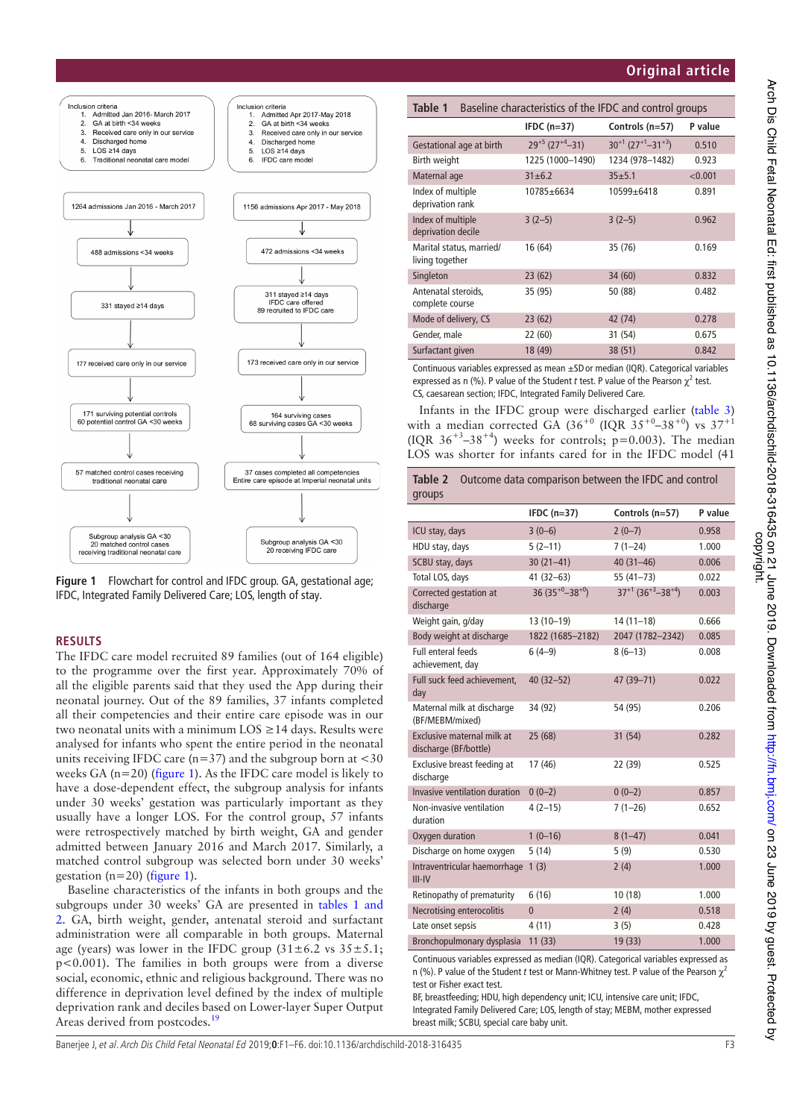## **Original article**





#### **RESULTS**

The IFDC care model recruited 89 families (out of 164 eligible) to the programme over the first year. Approximately 70% of all the eligible parents said that they used the App during their neonatal journey. Out of the 89 families, 37 infants completed all their competencies and their entire care episode was in our two neonatal units with a minimum  $LOS \geq 14$  days. Results were analysed for infants who spent the entire period in the neonatal units receiving IFDC care ( $n=37$ ) and the subgroup born at  $<30$ weeks GA (n=20) (figure 1). As the IFDC care model is likely to have a dose-dependent effect, the subgroup analysis for infants under 30 weeks' gestation was particularly important as they usually have a longer LOS. For the control group, 57 infants were retrospectively matched by birth weight, GA and gender admitted between January 2016 and March 2017. Similarly, a matched control subgroup was selected born under 30 weeks' gestation ( $n=20$ ) (figure 1).

Baseline characteristics of the infants in both groups and the subgroups under 30 weeks' GA are presented in tables 1 and 2. GA, birth weight, gender, antenatal steroid and surfactant administration were all comparable in both groups. Maternal age (years) was lower in the IFDC group  $(31 \pm 6.2 \text{ vs } 35 \pm 5.1;$ p<0.001). The families in both groups were from a diverse social, economic, ethnic and religious background. There was no difference in deprivation level defined by the index of multiple deprivation rank and deciles based on Lower-layer Super Output Areas derived from postcodes.<sup>1</sup>

| Table 1<br>Baseline characteristics of the IFDC and control groups |                                  |                                                 |         |
|--------------------------------------------------------------------|----------------------------------|-------------------------------------------------|---------|
|                                                                    | IFDC $(n=37)$                    | Controls (n=57)                                 | P value |
| Gestational age at birth                                           | $29^{+5}$ (27 <sup>+4</sup> -31) | $30^{+1}$ (27 <sup>+1</sup> -31 <sup>+3</sup> ) | 0.510   |
| Birth weight                                                       | 1225 (1000-1490)                 | 1234 (978-1482)                                 | 0.923   |
| Maternal age                                                       | $31 + 6.2$                       | $35 + 5.1$                                      | < 0.001 |
| Index of multiple<br>deprivation rank                              | 10785±6634                       | 10599±6418                                      | 0.891   |
| Index of multiple<br>deprivation decile                            | $3(2-5)$                         | $3(2-5)$                                        | 0.962   |
| Marital status, married/<br>living together                        | 16 (64)                          | 35 (76)                                         | 0.169   |
| Singleton                                                          | 23(62)                           | 34 (60)                                         | 0.832   |
| Antenatal steroids,<br>complete course                             | 35 (95)                          | 50 (88)                                         | 0.482   |
| Mode of delivery, CS                                               | 23(62)                           | 42 (74)                                         | 0.278   |
| Gender, male                                                       | 22 (60)                          | 31 (54)                                         | 0.675   |
| Surfactant given                                                   | 18 (49)                          | 38 (51)                                         | 0.842   |

Continuous variables expressed as mean ±SDor median (IQR). Categorical variables expressed as n (%). P value of the Student *t* test. P value of the Pearson  $\chi^2$  test. CS, caesarean section; IFDC, Integrated Family Delivered Care.

Infants in the IFDC group were discharged earlier (table 3) with a median corrected GA  $(36^{+0}$  (IQR  $35^{+0}$ –38<sup>+0</sup>) vs  $37^{+1}$ (IQR  $36^{+3}$ -38<sup>+4</sup>) weeks for controls; p=0.003). The median LOS was shorter for infants cared for in the IFDC model (41

| Table 2<br>Outcome data comparison between the IFDC and control |                          |                                                 |         |
|-----------------------------------------------------------------|--------------------------|-------------------------------------------------|---------|
| groups                                                          |                          |                                                 |         |
|                                                                 | IFDC $(n=37)$            | Controls (n=57)                                 | P value |
| ICU stay, days                                                  | $3(0-6)$                 | $2(0-7)$                                        | 0.958   |
| HDU stay, days                                                  | $5(2-11)$                | $7(1-24)$                                       | 1.000   |
| SCBU stay, days                                                 | $30(21-41)$              | $40(31 - 46)$                                   | 0.006   |
| Total LOS, days                                                 | $41(32 - 63)$            | $55(41 - 73)$                                   | 0.022   |
| Corrected gestation at<br>discharge                             | 36 $(35^{+0} - 38^{+0})$ | $37^{+1}$ (36 <sup>+3</sup> -38 <sup>+4</sup> ) | 0.003   |
| Weight gain, g/day                                              | 13 (10-19)               | $14(11-18)$                                     | 0.666   |
| Body weight at discharge                                        | 1822 (1685-2182)         | 2047 (1782-2342)                                | 0.085   |
| <b>Full enteral feeds</b><br>achievement, day                   | $6(4-9)$                 | $8(6-13)$                                       | 0.008   |
| Full suck feed achievement.<br>day                              | $40(32 - 52)$            | 47 (39-71)                                      | 0.022   |
| Maternal milk at discharge<br>(BF/MEBM/mixed)                   | 34 (92)                  | 54 (95)                                         | 0.206   |
| Exclusive maternal milk at<br>discharge (BF/bottle)             | 25 (68)                  | 31 (54)                                         | 0.282   |
| Exclusive breast feeding at<br>discharge                        | 17 (46)                  | 22 (39)                                         | 0.525   |
| Invasive ventilation duration                                   | $0(0-2)$                 | $0(0-2)$                                        | 0.857   |
| Non-invasive ventilation<br>duration                            | $4(2-15)$                | $7(1-26)$                                       | 0.652   |
| Oxygen duration                                                 | $1(0-16)$                | $8(1-47)$                                       | 0.041   |
| Discharge on home oxygen                                        | 5(14)                    | 5(9)                                            | 0.530   |
| Intraventricular haemorrhage<br>$III - IV$                      | 1(3)                     | 2(4)                                            | 1.000   |
| Retinopathy of prematurity                                      | 6(16)                    | 10(18)                                          | 1.000   |
| Necrotising enterocolitis                                       | $\overline{0}$           | 2(4)                                            | 0.518   |
| Late onset sepsis                                               | 4(11)                    | 3(5)                                            | 0.428   |
| Bronchopulmonary dysplasia                                      | 11(33)                   | 19 (33)                                         | 1.000   |
|                                                                 |                          |                                                 |         |

Continuous variables expressed as median (IQR). Categorical variables expressed as n (%). P value of the Student *t* test or Mann-Whitney test. P value of the Pearson χ<sup>2</sup> test or Fisher exact test.

BF, breastfeeding; HDU, high dependency unit; ICU, intensive care unit; IFDC, Integrated Family Delivered Care; LOS, length of stay; MEBM, mother expressed breast milk; SCBU, special care baby unit.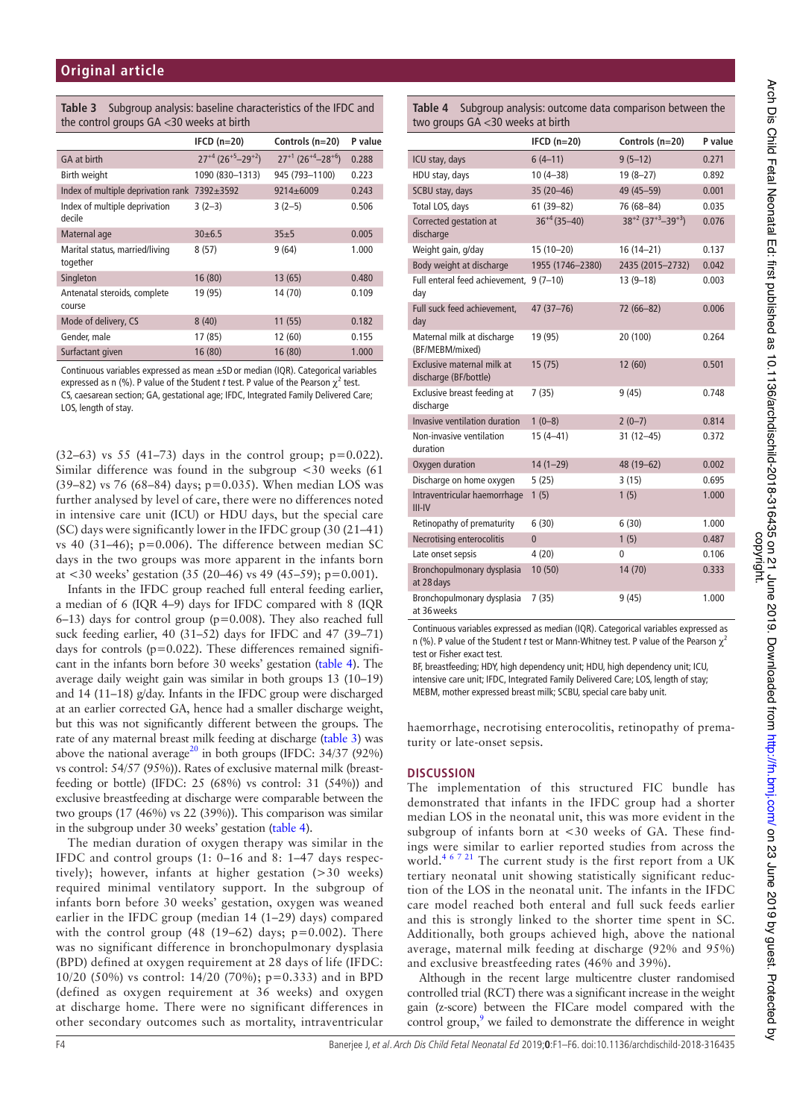| <b>Table 3</b> Subgroup analysis: baseline characteristics of the IFDC and |
|----------------------------------------------------------------------------|
| the control groups $GA < 30$ weeks at birth                                |

|                                                    | IFCD $(n=20)$                                   | Controls (n=20)                                 | P value |
|----------------------------------------------------|-------------------------------------------------|-------------------------------------------------|---------|
| GA at birth                                        | $27^{+4}$ (26 <sup>+5</sup> -29 <sup>+2</sup> ) | $27^{+1}$ (26 <sup>+4</sup> -28 <sup>+6</sup> ) | 0.288   |
| Birth weight                                       | 1090 (830-1313)                                 | 945 (793-1100)                                  | 0.223   |
| Index of multiple deprivation rank $7392 \pm 3592$ |                                                 | $9214 \pm 6009$                                 | 0.243   |
| Index of multiple deprivation<br>decile            | $3(2-3)$                                        | $3(2-5)$                                        | 0.506   |
| Maternal age                                       | 30±6.5                                          | 35±5                                            | 0.005   |
| Marital status, married/living<br>together         | 8(57)                                           | 9(64)                                           | 1.000   |
| Singleton                                          | 16 (80)                                         | 13(65)                                          | 0.480   |
| Antenatal steroids, complete<br>course             | 19 (95)                                         | 14 (70)                                         | 0.109   |
| Mode of delivery, CS                               | 8(40)                                           | 11(55)                                          | 0.182   |
| Gender, male                                       | 17 (85)                                         | 12(60)                                          | 0.155   |
| Surfactant given                                   | 16 (80)                                         | 16 (80)                                         | 1.000   |
|                                                    |                                                 |                                                 |         |

Continuous variables expressed as mean ±SDor median (IQR). Categorical variables expressed as n (%). P value of the Student *t* test. P value of the Pearson  $\chi^2$  test. CS, caesarean section; GA, gestational age; IFDC, Integrated Family Delivered Care; LOS, length of stay.

 $(32-63)$  vs 55  $(41-73)$  days in the control group;  $p=0.022$ ). Similar difference was found in the subgroup <30 weeks (61 (39–82) vs 76 (68–84) days; p=0.035). When median LOS was further analysed by level of care, there were no differences noted in intensive care unit (ICU) or HDU days, but the special care (SC) days were significantly lower in the IFDC group (30 (21–41) vs 40 (31–46);  $p=0.006$ ). The difference between median SC days in the two groups was more apparent in the infants born at <30 weeks' gestation (35 (20–46) vs 49 (45–59); p=0.001).

Infants in the IFDC group reached full enteral feeding earlier, a median of 6 (IQR 4–9) days for IFDC compared with 8 (IQR  $6-13$ ) days for control group ( $p=0.008$ ). They also reached full suck feeding earlier, 40 (31–52) days for IFDC and 47 (39–71) days for controls  $(p=0.022)$ . These differences remained significant in the infants born before 30 weeks' gestation (table 4). The average daily weight gain was similar in both groups 13 (10–19) and 14 (11–18) g/day. Infants in the IFDC group were discharged at an earlier corrected GA, hence had a smaller discharge weight, but this was not significantly different between the groups. The rate of any maternal breast milk feeding at discharge (table 3) was above the national average<sup>20</sup> in both groups (IFDC:  $34/37$  (92%) vs control: 54/57 (95%)). Rates of exclusive maternal milk (breastfeeding or bottle) (IFDC:  $25$  (68%) vs control:  $31$  (54%)) and exclusive breastfeeding at discharge were comparable between the two groups (17 (46%) vs 22 (39%)). This comparison was similar in the subgroup under 30 weeks' gestation (table 4).

The median duration of oxygen therapy was similar in the IFDC and control groups (1: 0–16 and 8: 1–47 days respectively); however, infants at higher gestation (>30 weeks) required minimal ventilatory support. In the subgroup of infants born before 30 weeks' gestation, oxygen was weaned earlier in the IFDC group (median 14 (1–29) days) compared with the control group  $(48 (19-62)$  days;  $p=0.002$ ). There was no significant difference in bronchopulmonary dysplasia (BPD) defined at oxygen requirement at 28 days of life (IFDC: 10/20 (50%) vs control: 14/20 (70%); p=0.333) and in BPD (defined as oxygen requirement at 36 weeks) and oxygen at discharge home. There were no significant differences in other secondary outcomes such as mortality, intraventricular

| <b>Table 4</b> Subgroup analysis: outcome data comparison between the |
|-----------------------------------------------------------------------|
| two groups $GA < 30$ weeks at birth                                   |

|                                                     | $IFCD(n=20)$      | Controls (n=20)                                 | P value |
|-----------------------------------------------------|-------------------|-------------------------------------------------|---------|
| ICU stay, days                                      | $6(4-11)$         | $9(5-12)$                                       | 0.271   |
| HDU stay, days                                      | $10(4-38)$        | $19(8-27)$                                      | 0.892   |
| SCBU stay, days                                     | $35(20-46)$       | 49 (45-59)                                      | 0.001   |
| Total LOS, days                                     | $61(39 - 82)$     | 76 (68-84)                                      | 0.035   |
| Corrected gestation at<br>discharge                 | $36^{+4}$ (35-40) | $38^{+2}$ (37 <sup>+3</sup> -39 <sup>+3</sup> ) | 0.076   |
| Weight gain, g/day                                  | $15(10-20)$       | $16(14 - 21)$                                   | 0.137   |
| Body weight at discharge                            | 1955 (1746-2380)  | 2435 (2015-2732)                                | 0.042   |
| Full enteral feed achievement, 9 (7-10)<br>day      |                   | $13(9-18)$                                      | 0.003   |
| Full suck feed achievement,<br>day                  | $47(37 - 76)$     | 72 (66-82)                                      | 0.006   |
| Maternal milk at discharge<br>(BF/MEBM/mixed)       | 19 (95)           | 20 (100)                                        | 0.264   |
| Exclusive maternal milk at<br>discharge (BF/bottle) | 15(75)            | 12(60)                                          | 0.501   |
| Exclusive breast feeding at<br>discharge            | 7(35)             | 9(45)                                           | 0.748   |
| Invasive ventilation duration                       | $1(0-8)$          | $2(0-7)$                                        | 0.814   |
| Non-invasive ventilation<br>duration                | $15(4 - 41)$      | $31(12 - 45)$                                   | 0.372   |
| Oxygen duration                                     | $14(1-29)$        | 48 (19-62)                                      | 0.002   |
| Discharge on home oxygen                            | 5(25)             | 3(15)                                           | 0.695   |
| Intraventricular haemorrhage<br>$III - IV$          | 1(5)              | 1(5)                                            | 1.000   |
| Retinopathy of prematurity                          | 6(30)             | 6(30)                                           | 1.000   |
| Necrotising enterocolitis                           | $\overline{0}$    | 1(5)                                            | 0.487   |
| Late onset sepsis                                   | 4(20)             | 0                                               | 0.106   |
| Bronchopulmonary dysplasia<br>at 28 days            | 10(50)            | 14 (70)                                         | 0.333   |
| Bronchopulmonary dysplasia<br>at 36 weeks           | 7(35)             | 9(45)                                           | 1.000   |

Continuous variables expressed as median (IQR). Categorical variables expressed as n (%). P value of the Student *t* test or Mann-Whitney test. P value of the Pearson χ<sup>2</sup> test or Fisher exact test.

BF, breastfeeding; HDY, high dependency unit; HDU, high dependency unit; ICU, intensive care unit; IFDC, Integrated Family Delivered Care; LOS, length of stay; MEBM, mother expressed breast milk; SCBU, special care baby unit.

haemorrhage, necrotising enterocolitis, retinopathy of prematurity or late-onset sepsis.

#### **DISCUSSION**

The implementation of this structured FIC bundle has demonstrated that infants in the IFDC group had a shorter median LOS in the neonatal unit, this was more evident in the subgroup of infants born at <30 weeks of GA. These findings were similar to earlier reported studies from across the world.<sup>4 6 7 21</sup> The current study is the first report from a UK tertiary neonatal unit showing statistically significant reduction of the LOS in the neonatal unit. The infants in the IFDC care model reached both enteral and full suck feeds earlier and this is strongly linked to the shorter time spent in SC. Additionally, both groups achieved high, above the national average, maternal milk feeding at discharge (92% and 95%) and exclusive breastfeeding rates (46% and 39%).

Although in the recent large multicentre cluster randomised controlled trial (RCT) there was a significant increase in the weight gain (z-score) between the FICare model compared with the control group,<sup>9</sup> we failed to demonstrate the difference in weight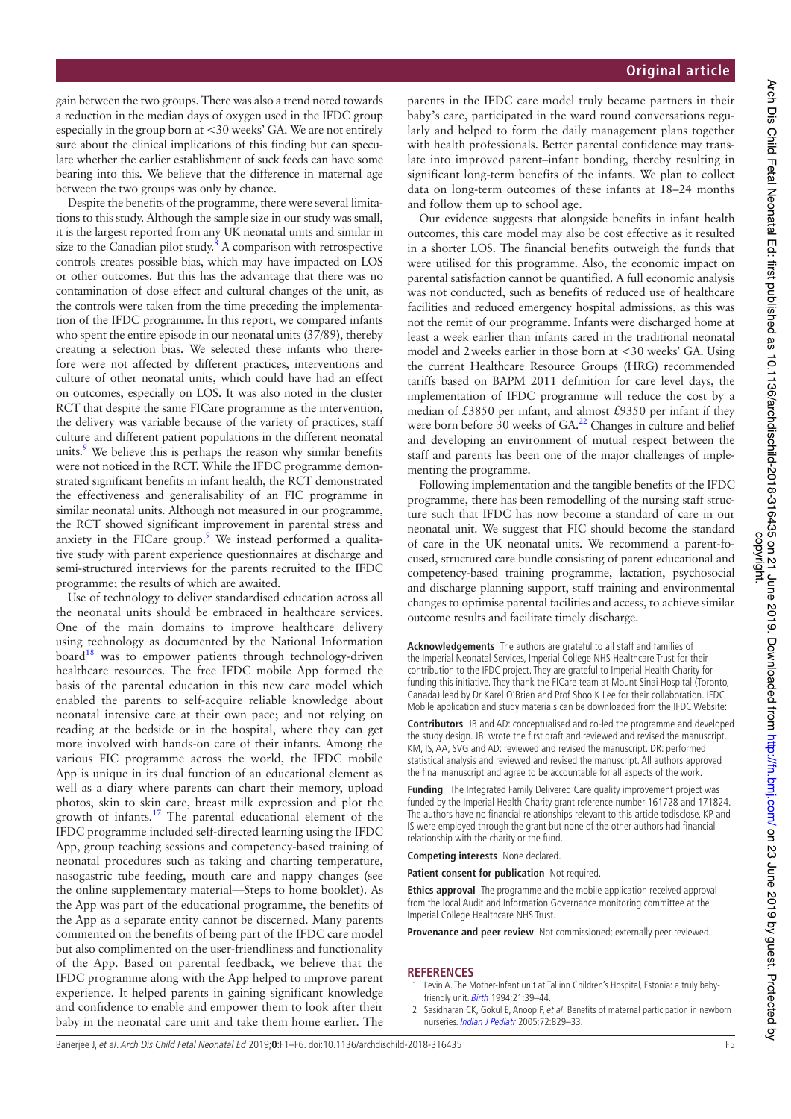gain between the two groups. There was also a trend noted towards a reduction in the median days of oxygen used in the IFDC group especially in the group born at <30 weeks' GA. We are not entirely sure about the clinical implications of this finding but can speculate whether the earlier establishment of suck feeds can have some bearing into this. We believe that the difference in maternal age between the two groups was only by chance.

Despite the benefits of the programme, there were several limitations to this study. Although the sample size in our study was small, it is the largest reported from any UK neonatal units and similar in size to the Canadian pilot study. $8$  A comparison with retrospective controls creates possible bias, which may have impacted on LOS or other outcomes. But this has the advantage that there was no contamination of dose effect and cultural changes of the unit, as the controls were taken from the time preceding the implementation of the IFDC programme. In this report, we compared infants who spent the entire episode in our neonatal units (37/89), thereby creating a selection bias. We selected these infants who therefore were not affected by different practices, interventions and culture of other neonatal units, which could have had an effect on outcomes, especially on LOS. It was also noted in the cluster RCT that despite the same FICare programme as the intervention, the delivery was variable because of the variety of practices, staff culture and different patient populations in the different neonatal units.<sup>9</sup> We believe this is perhaps the reason why similar benefits were not noticed in the RCT. While the IFDC programme demonstrated significant benefits in infant health, the RCT demonstrated the effectiveness and generalisability of an FIC programme in similar neonatal units. Although not measured in our programme, the RCT showed significant improvement in parental stress and anxiety in the FICare group.<sup>9</sup> We instead performed a qualitative study with parent experience questionnaires at discharge and semi-structured interviews for the parents recruited to the IFDC programme; the results of which are awaited.

Use of technology to deliver standardised education across all the neonatal units should be embraced in healthcare services. One of the main domains to improve healthcare delivery using technology as documented by the National Information board<sup>18</sup> was to empower patients through technology-driven healthcare resources. The free IFDC mobile App formed the basis of the parental education in this new care model which enabled the parents to self-acquire reliable knowledge about neonatal intensive care at their own pace; and not relying on reading at the bedside or in the hospital, where they can get more involved with hands-on care of their infants. Among the various FIC programme across the world, the IFDC mobile App is unique in its dual function of an educational element as well as a diary where parents can chart their memory, upload photos, skin to skin care, breast milk expression and plot the growth of infants.17 The parental educational element of the IFDC programme included self-directed learning using the IFDC App, group teaching sessions and competency-based training of neonatal procedures such as taking and charting temperature, nasogastric tube feeding, mouth care and nappy changes (see the online supplementary material—Steps to home booklet). As the App was part of the educational programme, the benefits of the App as a separate entity cannot be discerned. Many parents commented on the benefits of being part of the IFDC care model but also complimented on the user-friendliness and functionality of the App. Based on parental feedback, we believe that the IFDC programme along with the App helped to improve parent experience. It helped parents in gaining significant knowledge and confidence to enable and empower them to look after their baby in the neonatal care unit and take them home earlier. The

parents in the IFDC care model truly became partners in their baby's care, participated in the ward round conversations regularly and helped to form the daily management plans together with health professionals. Better parental confidence may translate into improved parent–infant bonding, thereby resulting in significant long-term benefits of the infants. We plan to collect data on long-term outcomes of these infants at 18–24 months and follow them up to school age.

Our evidence suggests that alongside benefits in infant health outcomes, this care model may also be cost effective as it resulted in a shorter LOS. The financial benefits outweigh the funds that were utilised for this programme. Also, the economic impact on parental satisfaction cannot be quantified. A full economic analysis was not conducted, such as benefits of reduced use of healthcare facilities and reduced emergency hospital admissions, as this was not the remit of our programme. Infants were discharged home at least a week earlier than infants cared in the traditional neonatal model and 2weeks earlier in those born at <30 weeks' GA. Using the current Healthcare Resource Groups (HRG) recommended tariffs based on BAPM 2011 definition for care level days, the implementation of IFDC programme will reduce the cost by a median of £3850 per infant, and almost £9350 per infant if they were born before 30 weeks of GA.<sup>22</sup> Changes in culture and belief and developing an environment of mutual respect between the staff and parents has been one of the major challenges of implementing the programme.

Following implementation and the tangible benefits of the IFDC programme, there has been remodelling of the nursing staff structure such that IFDC has now become a standard of care in our neonatal unit. We suggest that FIC should become the standard of care in the UK neonatal units. We recommend a parent-focused, structured care bundle consisting of parent educational and competency-based training programme, lactation, psychosocial and discharge planning support, staff training and environmental changes to optimise parental facilities and access, to achieve similar outcome results and facilitate timely discharge.

**Acknowledgements** The authors are grateful to all staff and families of the Imperial Neonatal Services, Imperial College NHS Healthcare Trust for their contribution to the IFDC project. They are grateful to Imperial Health Charity for funding this initiative. They thank the FICare team at Mount Sinai Hospital (Toronto, Canada) lead by Dr Karel O'Brien and Prof Shoo K Lee for their collaboration. IFDC Mobile application and study materials can be downloaded from the IFDC Website:

**Contributors** JB and AD: conceptualised and co-led the programme and developed the study design. JB: wrote the first draft and reviewed and revised the manuscript. KM, IS, AA, SVG and AD: reviewed and revised the manuscript. DR: performed statistical analysis and reviewed and revised the manuscript. All authors approved the final manuscript and agree to be accountable for all aspects of the work.

**Funding** The Integrated Family Delivered Care quality improvement project was funded by the Imperial Health Charity grant reference number 161728 and 171824. The authors have no financial relationships relevant to this article todisclose. KP and IS were employed through the grant but none of the other authors had financial relationship with the charity or the fund.

**Competing interests** None declared.

**Patient consent for publication** Not required.

**Ethics approval** The programme and the mobile application received approval from the local Audit and Information Governance monitoring committee at the Imperial College Healthcare NHS Trust.

**Provenance and peer review** Not commissioned; externally peer reviewed.

#### **REFERENCES**

- 1 Levin A. The Mother-Infant unit at Tallinn Children's Hospital, Estonia: a truly babyfriendly unit. Birth 1994;21:39–44.
- Sasidharan CK, Gokul E, Anoop P, et al. Benefits of maternal participation in newborn nurseries. Indian J Pediatr 2005;72:829–33.